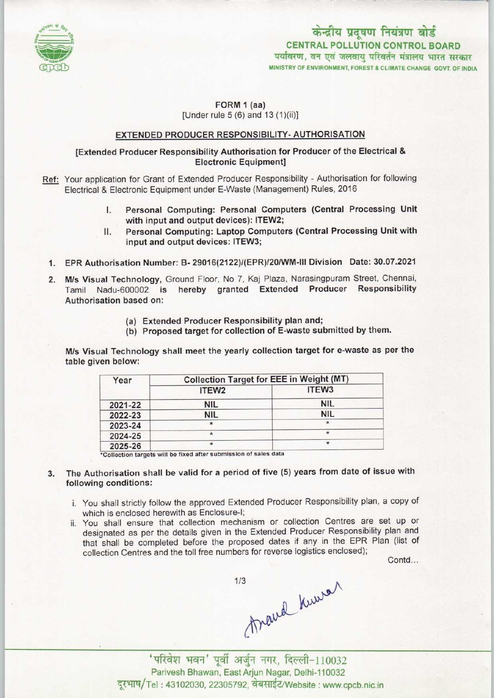

# केन्द्रीय प्रदूषण नियंत्रण बोर्ड CENTRAL POLLUTION CONTROL BOARD<br>पर्यावरण, वन एवं जलवायु परिवर्तन मंत्रालय भारत सरकार MINISTRY OF ENVIRONMENT, FOREST & CLIMATE CHANGE GOVT. OF INDIA

# FORM 1 (aa) [Under rule 5 (6) and 13 (1)(ii)]

#### EXTENDED PRODUCER RESPONSIBILITY- AUTHORISATION

#### [Extended Producer Responsibility Authorisation for Producer of the Electrical & Electronic Equipment]

- Ref: Your application for Grant of Extended Producer Responsibility Authorisation for following Electrical & Electronic Equipment under E-Waste (Management) Rules, 2016
	- I. Personal Computing: Personal Computers (Central Processing Unit with input and output devices): ITEW2;
	- II. Personal Computing: Laptop Computers (Central Processing Unit with input and output devices: ITEW3;
	- 1.EPR Authorisation Number: B- 29016(2122)/(EPR)/20/WM-III Division Date: 30.07.2021
	- 2. M/s Visual Technology, Ground Floor, No 7, Kaj Plaza, Narasingpuram Street, Chennai, Tamil Nadu-600002 is hereby granted Extended Producer Responsibility Authorisation based on:
		- (a)Extended Producer Responsibility plan and;
		- (b) Proposed target for collection of E-waste submitted by them.

M/s Visual Technology shall meet the yearly collection target for e-waste as per the table given below:

| Year    | <b>Collection Target for EEE in Weight (MT)</b> |                   |
|---------|-------------------------------------------------|-------------------|
|         | ITEW <sub>2</sub>                               | ITEW <sub>3</sub> |
| 2021-22 | <b>NIL</b>                                      | <b>NIL</b>        |
| 2022-23 | <b>NIL</b>                                      | <b>NIL</b>        |
| 2023-24 |                                                 | $\star$           |
| 2024-25 | ₩                                               |                   |
| 2025-26 | $\star$                                         |                   |

\*Collection targets will be fixed after submission of sales data

- The Authorisation shall be valid for a period of five (5) years from date of issue with  $3.$ following conditions:
	- i. You shall strictly follow the approved Extended Producer Responsibility plan, a copy of which is enclosed herewith as Enclosure-I;
	- ii. You shall ensure that collection mechanism or collection Centres are set up or designated as per the details given in the Extended Producer Responsibility plan and that shall be completed before the proposed dates if any in the EPR Plan (list of collection Centres and the toll free numbers for reverse logistics enclosed);

Contd...

 $A$ wal Kuwal (Kuwa) 1/3

Parivesh Bhawan, East Arjun Nagar, Delhi-110032 दूरभाष/Tel: 43102030, 22305792, वेबसाईट/Website: www.cpcb.nic.in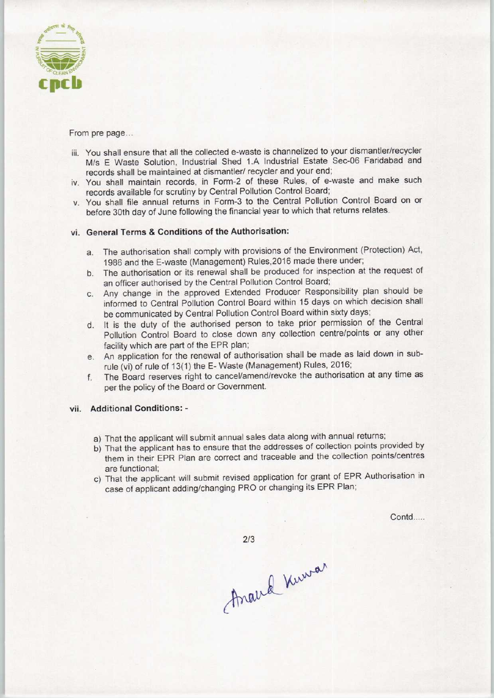

From pre page...

- iii. You shall ensure that all the collected e-waste is channelized to your dismantler/recycler M/s E Waste Solution, Industrial Shed 1.A Industrial Estate Sec-06 Faridabad and records shall be maintained at dismantler/ recycler and your end;
- iv. You shall maintain records, in Form-2 of these Rules, of e-waste and make such records available for scrutiny by Central Pollution Control Board;
- v. You shall file annual returns in Form-3 to the Central Pollution Control Board on or before 30th day of June following the financial year to which that returns relates.

## vi. General Terms & Conditions of the Authorisation:

- a.The authorisation shall comply with provisions of the Environment (Protection) Act, 1986 and the E-waste (Management) Rules,2016 made there under;
- b. The authorisation or its renewal shall be produced for inspection at the request of an officer authorised by the Central Pollution Control Board;
- c.Any change in the approved Extended Producer Responsibility plan should be informed to Central Pollution Control Board within 15 days on which decision shall be communicated by Central Pollution Control Board within sixty days;
- d. It is the duty of the authorised person to take prior permission of the Central Pollution Control Board to close down any collection centre/points or any other facility which are part of the EPR plan;
- e. An application for the renewal of authorisation shall be made as laid down in subrule (vi) of rule of 13(1) the E- Waste (Management) Rules, 2016;
- f.The Board reserves right to cancel/amend/revoke the authorisation at any time as perthe policy of the Board or Government.

## vii. Additional Conditions: -

- a) That the applicant will submit annual sales data along with annual returns;
- b) That the applicant has to ensure that the addresses of collection points provided by them in their EPR Plan are correct and traceable and the collection points/centres are functional;
- c) That the applicant will submit revised application for grant of EPR Authorisation in case of applicant adding/changing PRO or changing its EPR Plan;

Contd....

 $2/3$ 

Anaud Numar